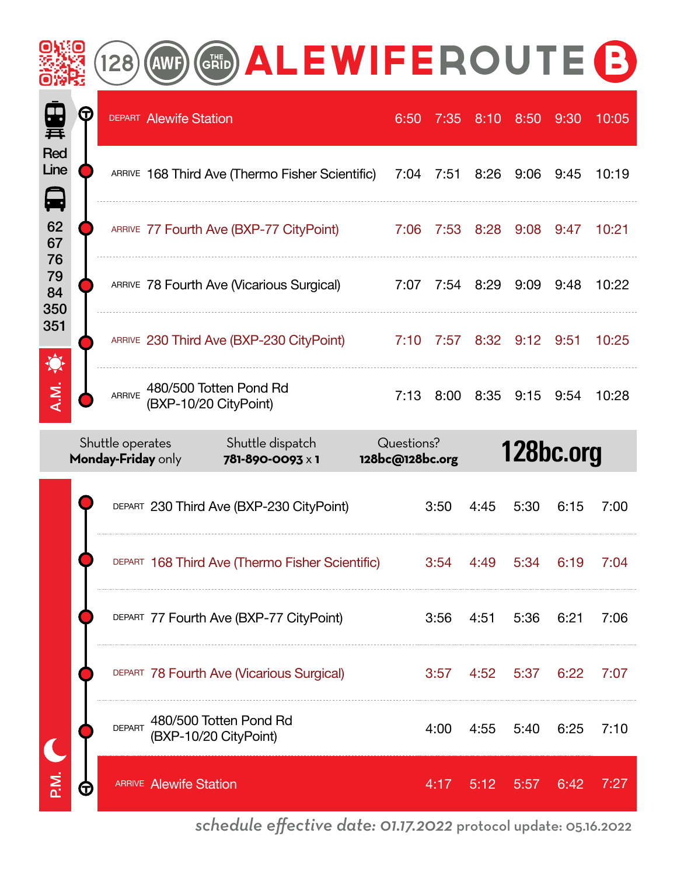|                                      |                           |                                        | <b>GRID</b>                                     | <b>ALEWIFEROUTE B</b>                                |                               |      |           |                |           |       |
|--------------------------------------|---------------------------|----------------------------------------|-------------------------------------------------|------------------------------------------------------|-------------------------------|------|-----------|----------------|-----------|-------|
| 再                                    | $\bm{\mathord{\text{G}}}$ |                                        | <b>DEPART Alewife Station</b>                   |                                                      | 6:50                          | 7:35 | 8:10      | 8:50           | 9:30      | 10:05 |
| <b>Red</b><br>Line<br>$\blacksquare$ |                           |                                        |                                                 | ARRIVE 168 Third Ave (Thermo Fisher Scientific)      | 7:04                          | 7:51 | 8:26      | 9:06           | 9:45      | 10:19 |
| 62<br>67                             |                           |                                        |                                                 | ARRIVE 77 Fourth Ave (BXP-77 CityPoint)              | 7:06                          | 7:53 | 8:28      | 9:08           | 9:47      | 10:21 |
| 76<br>79<br>84<br>350                |                           |                                        |                                                 | ARRIVE 78 Fourth Ave (Vicarious Surgical)            | 7:07                          | 7:54 | 8:29      | 9:09           | 9:48      | 10:22 |
| 351                                  |                           |                                        |                                                 | ARRIVE 230 Third Ave (BXP-230 CityPoint)             | 7:10                          | 7:57 | 8:32      | 9:12           | 9:51      | 10:25 |
| A.M.                                 |                           | <b>ARRIVE</b>                          | 480/500 Totten Pond Rd<br>(BXP-10/20 CityPoint) |                                                      | 7:13                          | 8:00 | 8:35      | 9:15           | 9:54      | 10:28 |
|                                      |                           |                                        |                                                 |                                                      |                               |      |           |                |           |       |
|                                      |                           | Shuttle operates<br>Monday-Friday only |                                                 | Shuttle dispatch<br>781-890-0093 x 1                 | Questions?<br>128bc@128bc.org |      |           |                | 128bc.org |       |
|                                      |                           |                                        |                                                 | DEPART 230 Third Ave (BXP-230 CityPoint)             |                               | 3:50 | 4:45      | 5:30           | 6:15      | 7:00  |
|                                      |                           |                                        |                                                 | DEPART 168 Third Ave (Thermo Fisher Scientific) 3:54 |                               |      | 4:49 5:34 |                | 6:19      | 7:04  |
|                                      |                           |                                        |                                                 | DEPART 77 Fourth Ave (BXP-77 CityPoint)              |                               | 3:56 |           | 4:51 5:36 6:21 |           | 7:06  |
|                                      |                           |                                        |                                                 | DEPART 78 Fourth Ave (Vicarious Surgical)            |                               | 3:57 |           | 4:52 5:37 6:22 |           | 7:07  |
|                                      |                           | <b>DEPART</b>                          | (BXP-10/20 CityPoint)                           | 480/500 Totten Pond Rd                               |                               | 4:00 |           | 4:55 5:40 6:25 |           | 7:10  |

*schedule effective date: 01.17.2022* protocol update: 05.16.2022